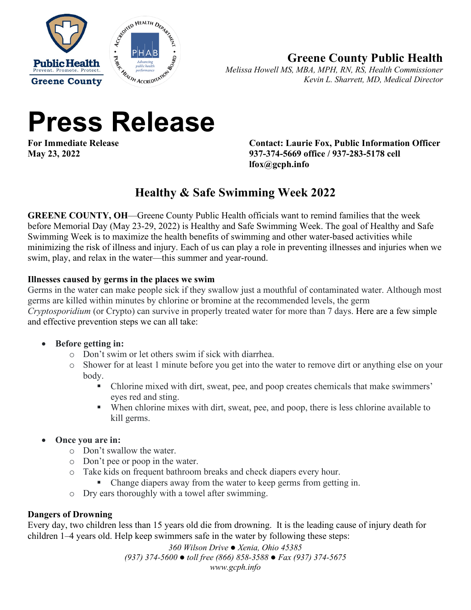



## **Greene County Public Health**

*Melissa Howell MS, MBA, MPH, RN, RS, Health Commissioner Kevin L. Sharrett, MD, Medical Director*

# **Press Release**

**Contact: Laurie Fox, Public Information Officer May 23, 2022 937-374-5669 office / 937-283-5178 cell lfox@gcph.info**

# **Healthy & Safe Swimming Week 2022**

**GREENE COUNTY, OH**—Greene County Public Health officials want to remind families that the week before Memorial Day (May 23-29, 2022) is Healthy and Safe Swimming Week. The goal of Healthy and Safe Swimming Week is to maximize the health benefits of swimming and other water-based activities while minimizing the risk of illness and injury. Each of us can play a role in preventing illnesses and injuries when we swim, play, and relax in the water—this summer and year-round.

## **Illnesses caused by germs in the places we swim**

Germs in the water can make people sick if they swallow just a mouthful of contaminated water. Although most germs are killed within minutes by chlorine or bromine at the recommended levels, the germ *Cryptosporidium* (or Crypto) can survive in properly treated water for more than 7 days. Here are a few simple and effective prevention steps we can all take:

## • **Before getting in:**

- o Don't swim or let others swim if sick with diarrhea.
- o Shower for at least 1 minute before you get into the water to remove dirt or anything else on your body.
	- Chlorine mixed with dirt, sweat, pee, and poop creates chemicals that make swimmers' eyes red and sting.
	- When chlorine mixes with dirt, sweat, pee, and poop, there is less chlorine available to kill germs.

## • **Once you are in:**

- o Don't swallow the water.
- o Don't pee or poop in the water.
- o Take kids on frequent bathroom breaks and check diapers every hour.
	- Change diapers away from the water to keep germs from getting in.
- o Dry ears thoroughly with a towel after swimming.

## **Dangers of Drowning**

Every day, two children less than 15 years old die from drowning. It is the leading cause of injury death for children 1–4 years old. Help keep swimmers safe in the water by following these steps:

> *360 Wilson Drive Xenia, Ohio 45385 (937) 374-5600 toll free (866) 858-3588 Fax (937) 374-5675 www.gcph.info*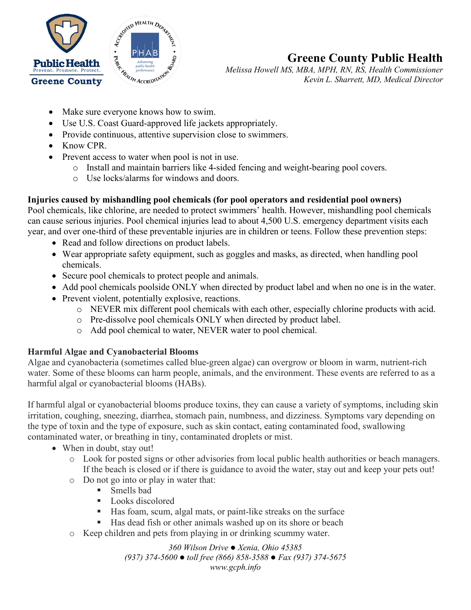

# **Greene County Public Health**

*Melissa Howell MS, MBA, MPH, RN, RS, Health Commissioner Kevin L. Sharrett, MD, Medical Director*

- Make sure everyone knows how to swim.
- Use U.S. Coast Guard-approved life jackets appropriately.
- Provide continuous, attentive supervision close to swimmers.
- Know CPR.
- Prevent access to water when pool is not in use.
	- o Install and maintain barriers like 4-sided fencing and weight-bearing pool covers.
	- o Use locks/alarms for windows and doors.

## **Injuries caused by mishandling pool chemicals (for pool operators and residential pool owners)**

Pool chemicals, like chlorine, are needed to protect swimmers' health. However, mishandling pool chemicals can cause serious injuries. Pool chemical injuries lead to about 4,500 U.S. emergency department visits each year, and over one-third of these preventable injuries are in children or teens. Follow these prevention steps:

- Read and follow directions on product labels.
- Wear appropriate safety equipment, such as goggles and masks, as directed, when handling pool chemicals.
- Secure pool chemicals to protect people and animals.
- Add pool chemicals poolside ONLY when directed by product label and when no one is in the water.
- Prevent violent, potentially explosive, reactions.
	- o NEVER mix different pool chemicals with each other, especially chlorine products with acid.
	- o Pre-dissolve pool chemicals ONLY when directed by product label.
	- o Add pool chemical to water, NEVER water to pool chemical.

#### **Harmful Algae and Cyanobacterial Blooms**

Algae and cyanobacteria (sometimes called blue-green algae) can overgrow or bloom in warm, nutrient-rich water. Some of these blooms can harm people, animals, and the environment. These events are referred to as a harmful algal or cyanobacterial blooms (HABs).

If harmful algal or cyanobacterial blooms produce toxins, they can cause a variety of symptoms, including skin irritation, coughing, sneezing, diarrhea, stomach pain, numbness, and dizziness. Symptoms vary depending on the type of toxin and the type of exposure, such as skin contact, eating contaminated food, swallowing contaminated water, or breathing in tiny, contaminated droplets or mist.

- When in doubt, stay out!
	- o Look for posted signs or other advisories from local public health authorities or beach managers. If the beach is closed or if there is guidance to avoid the water, stay out and keep your pets out!
	- $\circ$  Do not go into or play in water that:
		- Smells bad
		- Looks discolored
		- Has foam, scum, algal mats, or paint-like streaks on the surface
		- Has dead fish or other animals washed up on its shore or beach
	- o Keep children and pets from playing in or drinking scummy water.

*360 Wilson Drive Xenia, Ohio 45385 (937) 374-5600 toll free (866) 858-3588 Fax (937) 374-5675 www.gcph.info*